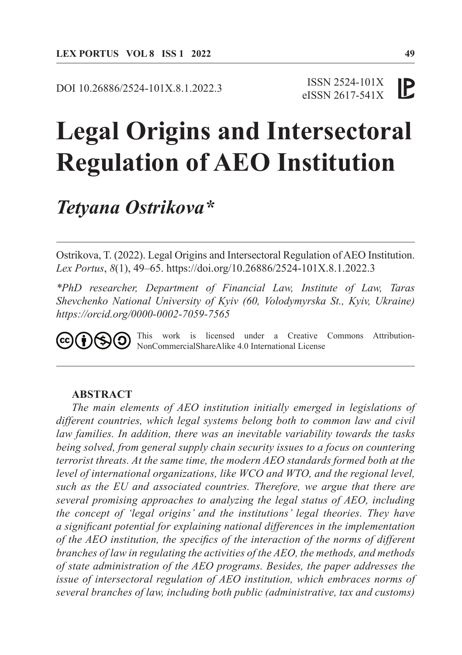DOI 10.26886/2524-101X.8.1.2022.3

#### ISSN 2524-101X IP eISSN 2617-541X

# **Legal Origins and Intersectoral Regulation of AEO Institution**

# *Tetyana Ostrikova\**

Ostrikova, T. (2022). Legal Origins and Intersectoral Regulation of AEO Institution. *Lex Portus*, *8*(1), 49–65. https://doi.org/10.26886/2524-101X.8.1.2022.3

*\*PhD researcher, Department of Financial Law, Institute of Law, Taras Shevchenko National University of Kyiv (60, Volodymyrska St., Kyiv, Ukraine) https://orcid.org/0000-0002-7059-7565*

This work is licensed under a Creative Commons Attribution-(i)(තු@ NonCommercialShareAlike 4.0 International License

#### **ABSTRACT**

*The main elements of AEO institution initially emerged in legislations of different countries, which legal systems belong both to common law and civil law families. In addition, there was an inevitable variability towards the tasks being solved, from general supply chain security issues to a focus on countering terrorist threats. At the same time, the modern AEO standards formed both at the level of international organizations, like WCO and WTO, and the regional level, such as the EU and associated countries. Therefore, we argue that there are several promising approaches to analyzing the legal status of AEO, including the concept of 'legal origins' and the institutions' legal theories. They have a significant potential for explaining national differences in the implementation of the AEO institution, the specifics of the interaction of the norms of different branches of law in regulating the activities of the AEO, the methods, and methods of state administration of the AEO programs. Besides, the paper addresses the issue of intersectoral regulation of AEO institution, which embraces norms of several branches of law, including both public (administrative, tax and customs)*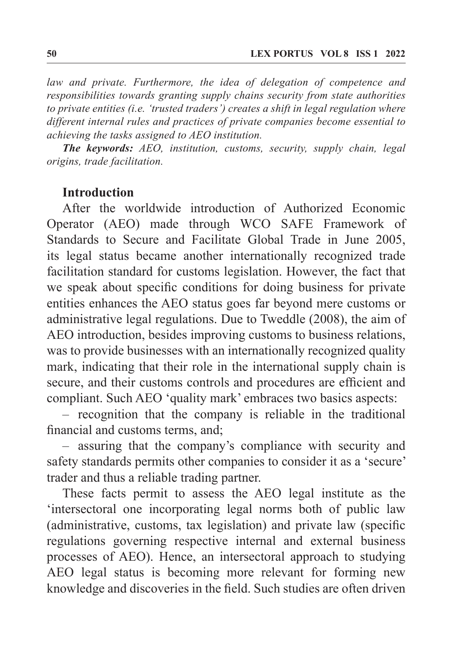*law and private. Furthermore, the idea of delegation of competence and responsibilities towards granting supply chains security from state authorities to private entities (i.e. 'trusted traders') creates a shift in legal regulation where different internal rules and practices of private companies become essential to achieving the tasks assigned to AEO institution.*

*The keywords: AEO, institution, customs, security, supply chain, legal origins, trade facilitation.*

#### **Introduction**

After the worldwide introduction of Authorized Economic Operator (AEO) made through WCO SAFE Framework of Standards to Secure and Facilitate Global Trade in June 2005, its legal status became another internationally recognized trade facilitation standard for customs legislation. However, the fact that we speak about specific conditions for doing business for private entities enhances the AEO status goes far beyond mere customs or administrative legal regulations. Due to Tweddle (2008), the aim of AEO introduction, besides improving customs to business relations, was to provide businesses with an internationally recognized quality mark, indicating that their role in the international supply chain is secure, and their customs controls and procedures are efficient and compliant. Such AEO 'quality mark' embraces two basics aspects:

– recognition that the company is reliable in the traditional financial and customs terms, and;

– assuring that the company's compliance with security and safety standards permits other companies to consider it as a 'secure' trader and thus a reliable trading partner.

These facts permit to assess the AEO legal institute as the 'intersectoral one incorporating legal norms both of public law (administrative, customs, tax legislation) and private law (specific regulations governing respective internal and external business processes of AEO). Hence, an intersectoral approach to studying AEO legal status is becoming more relevant for forming new knowledge and discoveries in the field. Such studies are often driven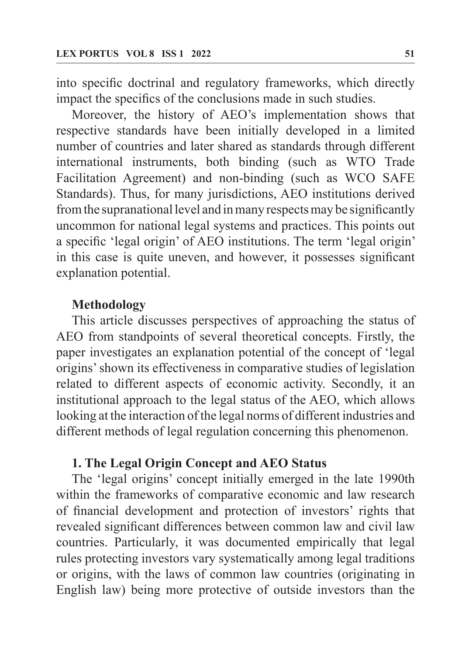into specific doctrinal and regulatory frameworks, which directly impact the specifics of the conclusions made in such studies.

Moreover, the history of AEO's implementation shows that respective standards have been initially developed in a limited number of countries and later shared as standards through different international instruments, both binding (such as WTO Trade Facilitation Agreement) and non-binding (such as WCO SAFE Standards). Thus, for many jurisdictions, AEO institutions derived from the supranational level and in many respects may be significantly uncommon for national legal systems and practices. This points out a specific 'legal origin' of AEO institutions. The term 'legal origin' in this case is quite uneven, and however, it possesses significant explanation potential.

## **Methodology**

This article discusses perspectives of approaching the status of AEO from standpoints of several theoretical concepts. Firstly, the paper investigates an explanation potential of the concept of 'legal origins' shown its effectiveness in comparative studies of legislation related to different aspects of economic activity. Secondly, it an institutional approach to the legal status of the AEO, which allows looking at the interaction of the legal norms of different industries and different methods of legal regulation concerning this phenomenon.

## **1. The Legal Origin Concept and AEO Status**

The 'legal origins' concept initially emerged in the late 1990th within the frameworks of comparative economic and law research of financial development and protection of investors' rights that revealed significant differences between common law and civil law countries. Particularly, it was documented empirically that legal rules protecting investors vary systematically among legal traditions or origins, with the laws of common law countries (originating in English law) being more protective of outside investors than the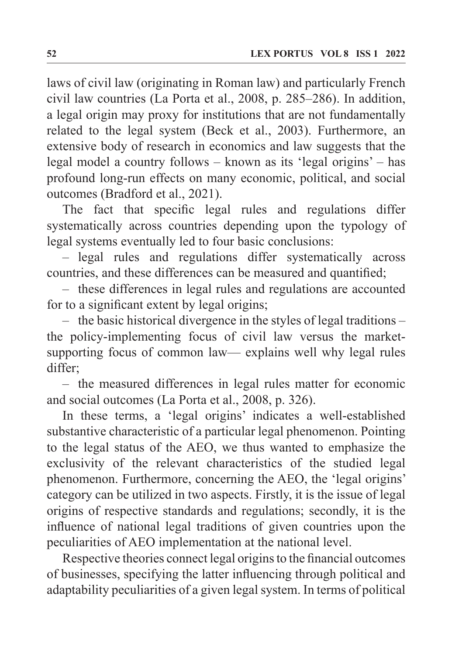laws of civil law (originating in Roman law) and particularly French civil law countries (La Porta et al., 2008, p. 285–286). In addition, a legal origin may proxy for institutions that are not fundamentally related to the legal system (Beck et al., 2003). Furthermore, an extensive body of research in economics and law suggests that the legal model a country follows – known as its 'legal origins' – has profound long-run effects on many economic, political, and social outcomes (Bradford et al., 2021).

The fact that specific legal rules and regulations differ systematically across countries depending upon the typology of legal systems eventually led to four basic conclusions:

– legal rules and regulations differ systematically across countries, and these differences can be measured and quantified;

– these differences in legal rules and regulations are accounted for to a significant extent by legal origins;

– the basic historical divergence in the styles of legal traditions – the policy-implementing focus of civil law versus the marketsupporting focus of common law— explains well why legal rules differ;

– the measured differences in legal rules matter for economic and social outcomes (La Porta et al., 2008, p. 326).

In these terms, a 'legal origins' indicates a well-established substantive characteristic of a particular legal phenomenon. Pointing to the legal status of the AEO, we thus wanted to emphasize the exclusivity of the relevant characteristics of the studied legal phenomenon. Furthermore, concerning the AEO, the 'legal origins' category can be utilized in two aspects. Firstly, it is the issue of legal origins of respective standards and regulations; secondly, it is the influence of national legal traditions of given countries upon the peculiarities of AEO implementation at the national level.

Respective theories connect legal origins to the financial outcomes of businesses, specifying the latter influencing through political and adaptability peculiarities of a given legal system. In terms of political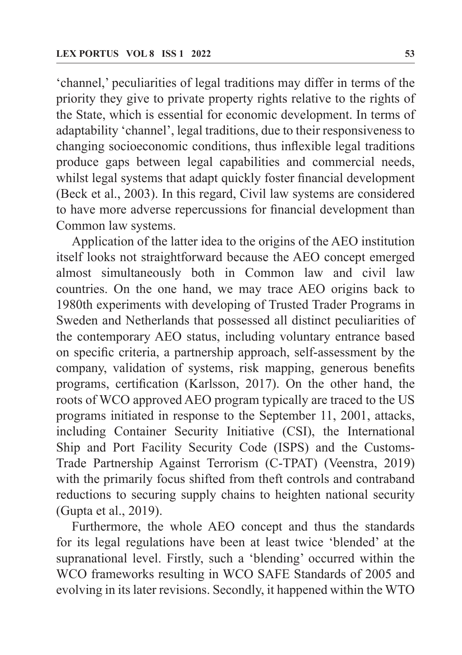'channel,' peculiarities of legal traditions may differ in terms of the priority they give to private property rights relative to the rights of the State, which is essential for economic development. In terms of adaptability 'channel', legal traditions, due to their responsiveness to changing socioeconomic conditions, thus inflexible legal traditions produce gaps between legal capabilities and commercial needs, whilst legal systems that adapt quickly foster financial development (Beck et al., 2003). In this regard, Civil law systems are considered to have more adverse repercussions for financial development than Common law systems.

Application of the latter idea to the origins of the AEO institution itself looks not straightforward because the AEO concept emerged almost simultaneously both in Common law and civil law countries. On the one hand, we may trace AEO origins back to 1980th experiments with developing of Trusted Trader Programs in Sweden and Netherlands that possessed all distinct peculiarities of the contemporary AEO status, including voluntary entrance based on specific criteria, a partnership approach, self-assessment by the company, validation of systems, risk mapping, generous benefits programs, certification (Karlsson, 2017). On the other hand, the roots of WCO approved AEO program typically are traced to the US programs initiated in response to the September 11, 2001, attacks, including Container Security Initiative (CSI), the International Ship and Port Facility Security Code (ISPS) and the Customs-Trade Partnership Against Terrorism (C-TPAT) (Veenstra, 2019) with the primarily focus shifted from theft controls and contraband reductions to securing supply chains to heighten national security (Gupta et al., 2019).

Furthermore, the whole AEO concept and thus the standards for its legal regulations have been at least twice 'blended' at the supranational level. Firstly, such a 'blending' occurred within the WCO frameworks resulting in WCO SAFE Standards of 2005 and evolving in its later revisions. Secondly, it happened within the WTO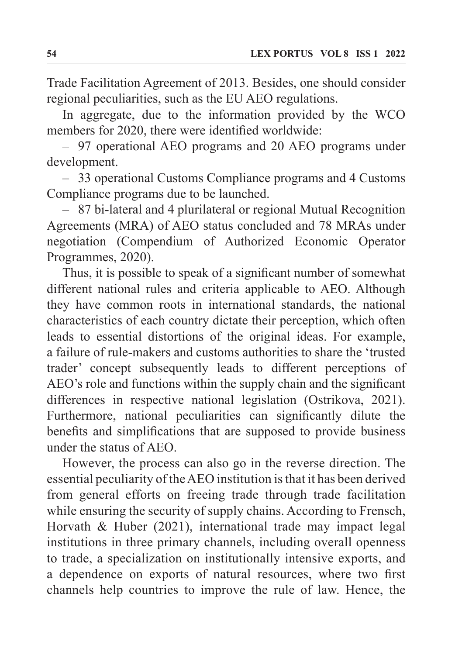Trade Facilitation Agreement of 2013. Besides, one should consider regional peculiarities, such as the EU AEO regulations.

In aggregate, due to the information provided by the WCO members for 2020, there were identified worldwide:

– 97 operational AEO programs and 20 AEO programs under development.

– 33 operational Customs Compliance programs and 4 Customs Compliance programs due to be launched.

– 87 bi-lateral and 4 plurilateral or regional Mutual Recognition Agreements (MRA) of AEO status concluded and 78 MRAs under negotiation (Compendium of Authorized Economic Operator Programmes, 2020).

Thus, it is possible to speak of a significant number of somewhat different national rules and criteria applicable to AEO. Although they have common roots in international standards, the national characteristics of each country dictate their perception, which often leads to essential distortions of the original ideas. For example, a failure of rule-makers and customs authorities to share the 'trusted trader' concept subsequently leads to different perceptions of AEO's role and functions within the supply chain and the significant differences in respective national legislation (Ostrikova, 2021). Furthermore, national peculiarities can significantly dilute the benefits and simplifications that are supposed to provide business under the status of AEO.

However, the process can also go in the reverse direction. The essential peculiarity of the AEO institution is that it has been derived from general efforts on freeing trade through trade facilitation while ensuring the security of supply chains. According to Frensch, Horvath & Huber (2021), international trade may impact legal institutions in three primary channels, including overall openness to trade, a specialization on institutionally intensive exports, and a dependence on exports of natural resources, where two first channels help countries to improve the rule of law. Hence, the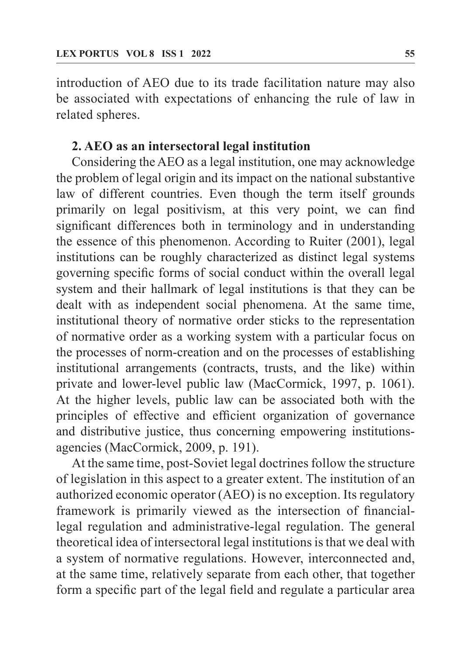introduction of AEO due to its trade facilitation nature may also be associated with expectations of enhancing the rule of law in related spheres.

## **2. AEO as an intersectoral legal institution**

Considering the AEO as a legal institution, one may acknowledge the problem of legal origin and its impact on the national substantive law of different countries. Even though the term itself grounds primarily on legal positivism, at this very point, we can find significant differences both in terminology and in understanding the essence of this phenomenon. According to Ruiter (2001), legal institutions can be roughly characterized as distinct legal systems governing specific forms of social conduct within the overall legal system and their hallmark of legal institutions is that they can be dealt with as independent social phenomena. At the same time, institutional theory of normative order sticks to the representation of normative order as a working system with a particular focus on the processes of norm-creation and on the processes of establishing institutional arrangements (contracts, trusts, and the like) within private and lower-level public law (MacCormick, 1997, p. 1061). At the higher levels, public law can be associated both with the principles of effective and efficient organization of governance and distributive justice, thus concerning empowering institutionsagencies (MacCormick, 2009, p. 191).

At the same time, post-Soviet legal doctrines follow the structure of legislation in this aspect to a greater extent. The institution of an authorized economic operator (AEO) is no exception. Its regulatory framework is primarily viewed as the intersection of financiallegal regulation and administrative-legal regulation. The general theoretical idea of intersectoral legal institutions is that we deal with a system of normative regulations. However, interconnected and, at the same time, relatively separate from each other, that together form a specific part of the legal field and regulate a particular area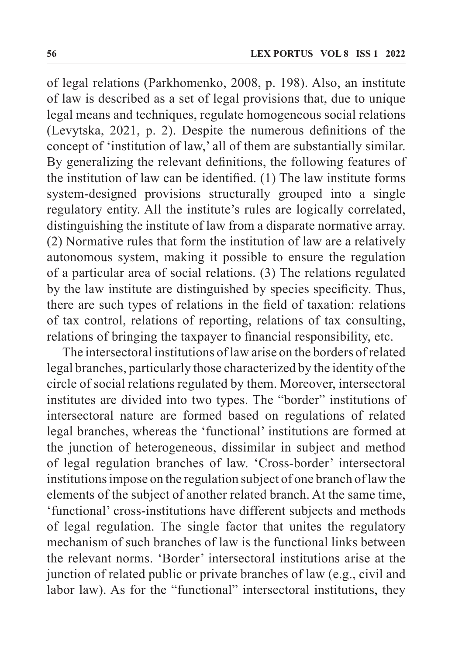of legal relations (Parkhomenko, 2008, p. 198). Also, an institute of law is described as a set of legal provisions that, due to unique legal means and techniques, regulate homogeneous social relations (Levytska, 2021, p. 2). Despite the numerous definitions of the concept of 'institution of law,' all of them are substantially similar. By generalizing the relevant definitions, the following features of the institution of law can be identified. (1) The law institute forms system-designed provisions structurally grouped into a single regulatory entity. All the institute's rules are logically correlated, distinguishing the institute of law from a disparate normative array. (2) Normative rules that form the institution of law are a relatively autonomous system, making it possible to ensure the regulation of a particular area of social relations. (3) The relations regulated by the law institute are distinguished by species specificity. Thus, there are such types of relations in the field of taxation: relations of tax control, relations of reporting, relations of tax consulting, relations of bringing the taxpayer to financial responsibility, etc.

The intersectoral institutions of law arise on the borders of related legal branches, particularly those characterized by the identity of the circle of social relations regulated by them. Moreover, intersectoral institutes are divided into two types. The "border" institutions of intersectoral nature are formed based on regulations of related legal branches, whereas the 'functional' institutions are formed at the junction of heterogeneous, dissimilar in subject and method of legal regulation branches of law. 'Cross-border' intersectoral institutions impose on the regulation subject of one branch of law the elements of the subject of another related branch. At the same time, 'functional' cross-institutions have different subjects and methods of legal regulation. The single factor that unites the regulatory mechanism of such branches of law is the functional links between the relevant norms. 'Border' intersectoral institutions arise at the junction of related public or private branches of law (e.g., civil and labor law). As for the "functional" intersectoral institutions, they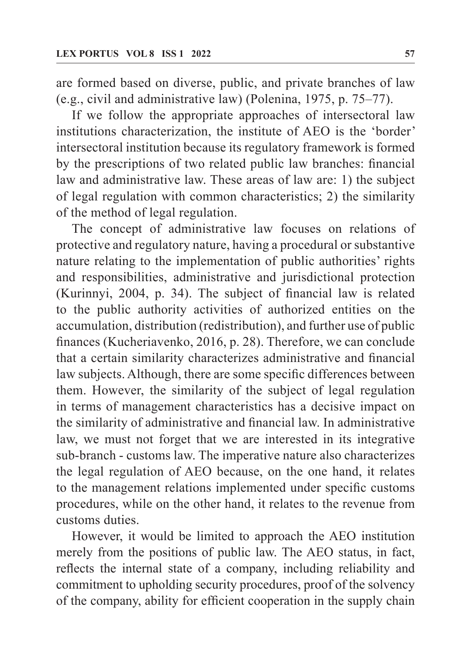are formed based on diverse, public, and private branches of law (e.g., civil and administrative law) (Polenina, 1975, p. 75–77).

If we follow the appropriate approaches of intersectoral law institutions characterization, the institute of AEO is the 'border' intersectoral institution because its regulatory framework is formed by the prescriptions of two related public law branches: financial law and administrative law. These areas of law are: 1) the subject of legal regulation with common characteristics; 2) the similarity of the method of legal regulation.

The concept of administrative law focuses on relations of protective and regulatory nature, having a procedural or substantive nature relating to the implementation of public authorities' rights and responsibilities, administrative and jurisdictional protection (Kurinnyi, 2004, p. 34). The subject of financial law is related to the public authority activities of authorized entities on the accumulation, distribution (redistribution), and further use of public finances (Kucheriavenko, 2016, p. 28). Therefore, we can conclude that a certain similarity characterizes administrative and financial law subjects. Although, there are some specific differences between them. However, the similarity of the subject of legal regulation in terms of management characteristics has a decisive impact on the similarity of administrative and financial law. In administrative law, we must not forget that we are interested in its integrative sub-branch - customs law. The imperative nature also characterizes the legal regulation of AEO because, on the one hand, it relates to the management relations implemented under specific customs procedures, while on the other hand, it relates to the revenue from customs duties.

However, it would be limited to approach the AEO institution merely from the positions of public law. The AEO status, in fact, reflects the internal state of a company, including reliability and commitment to upholding security procedures, proof of the solvency of the company, ability for efficient cooperation in the supply chain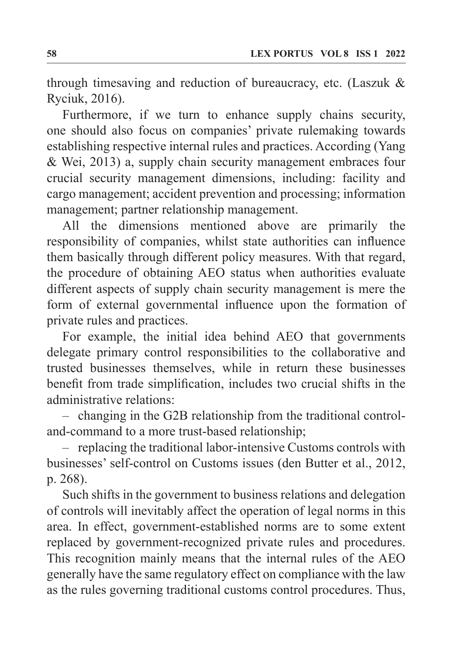through timesaving and reduction of bureaucracy, etc. (Laszuk & Ryciuk, 2016).

Furthermore, if we turn to enhance supply chains security, one should also focus on companies' private rulemaking towards establishing respective internal rules and practices. According (Yang & Wei, 2013) a, supply chain security management embraces four crucial security management dimensions, including: facility and cargo management; accident prevention and processing; information management; partner relationship management.

All the dimensions mentioned above are primarily the responsibility of companies, whilst state authorities can influence them basically through different policy measures. With that regard, the procedure of obtaining AEO status when authorities evaluate different aspects of supply chain security management is mere the form of external governmental influence upon the formation of private rules and practices.

For example, the initial idea behind AEO that governments delegate primary control responsibilities to the collaborative and trusted businesses themselves, while in return these businesses benefit from trade simplification, includes two crucial shifts in the administrative relations:

– changing in the G2B relationship from the traditional controland-command to a more trust-based relationship;

– replacing the traditional labor-intensive Customs controls with businesses' self-control on Customs issues (den Butter et al., 2012, p. 268).

Such shifts in the government to business relations and delegation of controls will inevitably affect the operation of legal norms in this area. In effect, government-established norms are to some extent replaced by government-recognized private rules and procedures. This recognition mainly means that the internal rules of the AEO generally have the same regulatory effect on compliance with the law as the rules governing traditional customs control procedures. Thus,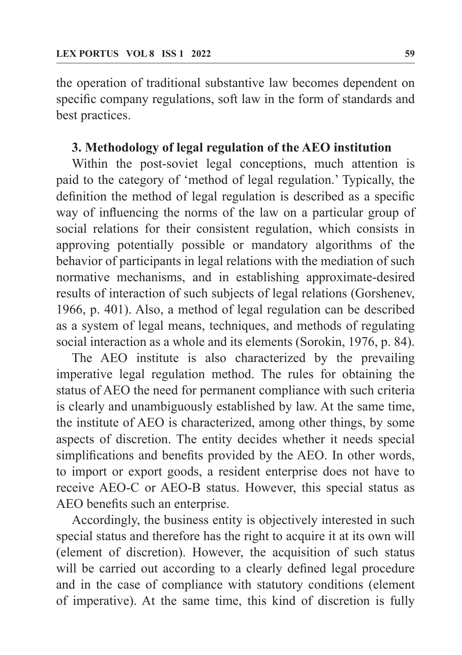the operation of traditional substantive law becomes dependent on specific company regulations, soft law in the form of standards and best practices.

## **3. Methodology of legal regulation of the AEO institution**

Within the post-soviet legal conceptions, much attention is paid to the category of 'method of legal regulation.' Typically, the definition the method of legal regulation is described as a specific way of influencing the norms of the law on a particular group of social relations for their consistent regulation, which consists in approving potentially possible or mandatory algorithms of the behavior of participants in legal relations with the mediation of such normative mechanisms, and in establishing approximate-desired results of interaction of such subjects of legal relations (Gorshenev, 1966, p. 401). Also, a method of legal regulation can be described as a system of legal means, techniques, and methods of regulating social interaction as a whole and its elements (Sorokin, 1976, p. 84).

The AEO institute is also characterized by the prevailing imperative legal regulation method. The rules for obtaining the status of AEO the need for permanent compliance with such criteria is clearly and unambiguously established by law. At the same time, the institute of AEO is characterized, among other things, by some aspects of discretion. The entity decides whether it needs special simplifications and benefits provided by the AEO. In other words, to import or export goods, a resident enterprise does not have to receive AEO-C or AEO-B status. However, this special status as AEO benefits such an enterprise.

Accordingly, the business entity is objectively interested in such special status and therefore has the right to acquire it at its own will (element of discretion). However, the acquisition of such status will be carried out according to a clearly defined legal procedure and in the case of compliance with statutory conditions (element of imperative). At the same time, this kind of discretion is fully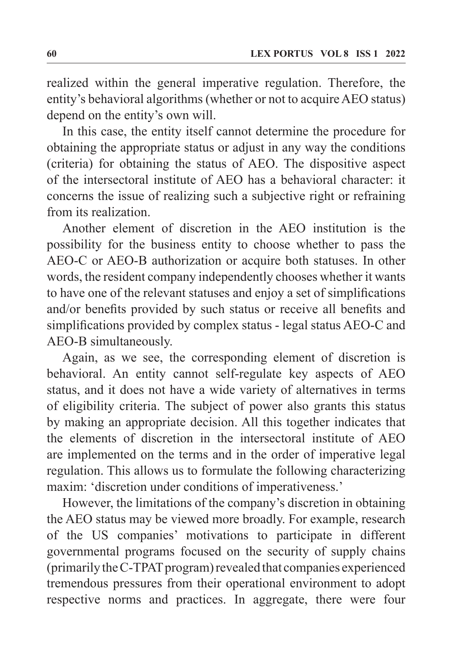realized within the general imperative regulation. Therefore, the entity's behavioral algorithms (whether or not to acquire AEO status) depend on the entity's own will.

In this case, the entity itself cannot determine the procedure for obtaining the appropriate status or adjust in any way the conditions (criteria) for obtaining the status of AEO. The dispositive aspect of the intersectoral institute of AEO has a behavioral character: it concerns the issue of realizing such a subjective right or refraining from its realization.

Another element of discretion in the AEO institution is the possibility for the business entity to choose whether to pass the AEO-C or AEO-B authorization or acquire both statuses. In other words, the resident company independently chooses whether it wants to have one of the relevant statuses and enjoy a set of simplifications and/or benefits provided by such status or receive all benefits and simplifications provided by complex status - legal status AEO-C and AEO-B simultaneously.

Again, as we see, the corresponding element of discretion is behavioral. An entity cannot self-regulate key aspects of AEO status, and it does not have a wide variety of alternatives in terms of eligibility criteria. The subject of power also grants this status by making an appropriate decision. All this together indicates that the elements of discretion in the intersectoral institute of AEO are implemented on the terms and in the order of imperative legal regulation. This allows us to formulate the following characterizing maxim: 'discretion under conditions of imperativeness.'

However, the limitations of the company's discretion in obtaining the AEO status may be viewed more broadly. For example, research of the US companies' motivations to participate in different governmental programs focused on the security of supply chains (primarily the C-TPAT program) revealed that companies experienced tremendous pressures from their operational environment to adopt respective norms and practices. In aggregate, there were four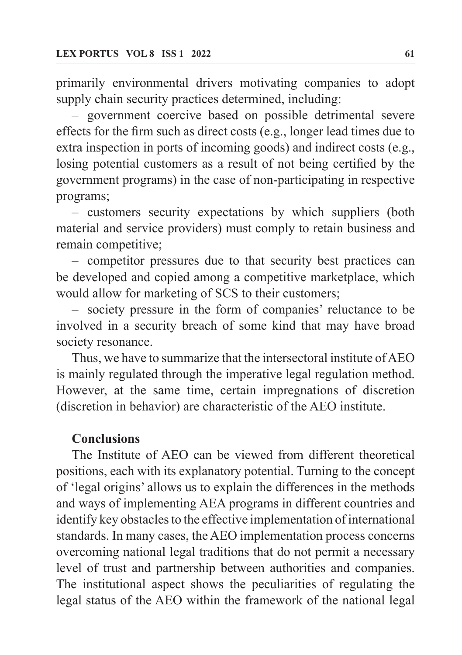primarily environmental drivers motivating companies to adopt supply chain security practices determined, including:

– government coercive based on possible detrimental severe effects for the firm such as direct costs (e.g., longer lead times due to extra inspection in ports of incoming goods) and indirect costs (e.g., losing potential customers as a result of not being certified by the government programs) in the case of non-participating in respective programs;

– customers security expectations by which suppliers (both material and service providers) must comply to retain business and remain competitive;

– competitor pressures due to that security best practices can be developed and copied among a competitive marketplace, which would allow for marketing of SCS to their customers;

– society pressure in the form of companies' reluctance to be involved in a security breach of some kind that may have broad society resonance.

Thus, we have to summarize that the intersectoral institute of AEO is mainly regulated through the imperative legal regulation method. However, at the same time, certain impregnations of discretion (discretion in behavior) are characteristic of the AEO institute.

#### **Conclusions**

The Institute of AEO can be viewed from different theoretical positions, each with its explanatory potential. Turning to the concept of 'legal origins' allows us to explain the differences in the methods and ways of implementing AEA programs in different countries and identify key obstacles to the effective implementation of international standards. In many cases, the AEO implementation process concerns overcoming national legal traditions that do not permit a necessary level of trust and partnership between authorities and companies. The institutional aspect shows the peculiarities of regulating the legal status of the AEO within the framework of the national legal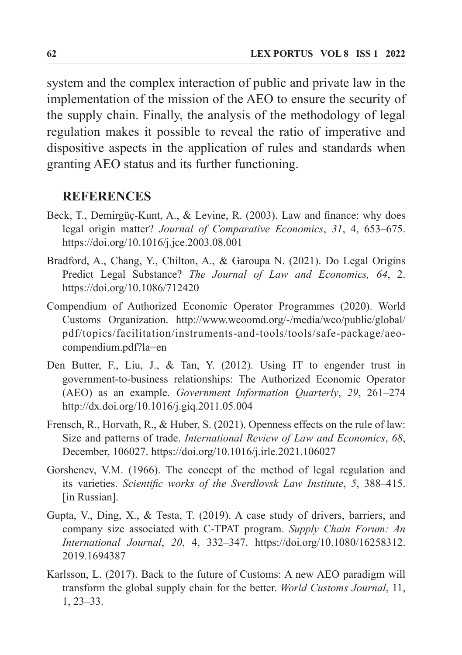system and the complex interaction of public and private law in the implementation of the mission of the AEO to ensure the security of the supply chain. Finally, the analysis of the methodology of legal regulation makes it possible to reveal the ratio of imperative and dispositive aspects in the application of rules and standards when granting AEO status and its further functioning.

#### **REFERENCES**

- Beck, T., Demirgüç-Kunt, A., & Levine, R. (2003). Law and finance: why does legal origin matter? *Journal of Comparative Economics*, *31*, 4, 653–675. https://doi.org/10.1016/j.jce.2003.08.001
- Bradford, A., Chang, Y., Chilton, A., & Garoupa N. (2021). Do Legal Origins Predict Legal Substance? *The Journal of Law and Economics, 64*, 2. https://doi.org/10.1086/712420
- Compendium of Authorized Economic Operator Programmes (2020). World Customs Organization. http://www.wcoomd.org/-/media/wco/public/global/ pdf/topics/facilitation/instruments-and-tools/tools/safe-package/aeocompendium.pdf?la=en
- Den Butter, F., Liu, J., & Tan, Y. (2012). Using IT to engender trust in government-to-business relationships: The Authorized Economic Operator (AEO) as an example. *Government Information Quarterly*, *29*, 261–274 http://dx.doi.org/10.1016/j.giq.2011.05.004
- Frensch, R., Horvath, R., & Huber, S. (2021). Openness effects on the rule of law: Size and patterns of trade. *International Review of Law and Economics*, *68*, December, 106027. https://doi.org/10.1016/j.irle.2021.106027
- Gorshenev, V.M. (1966). The concept of the method of legal regulation and its varieties. *Scientific works of the Sverdlovsk Law Institute*, *5*, 388–415. [in Russian].
- Gupta, V., Ding, X., & Testa, T. (2019). A case study of drivers, barriers, and company size associated with C-TPAT program. *Supply Chain Forum: An International Journal*, *20*, 4, 332–347. https://doi.org/10.1080/16258312. 2019.1694387
- Karlsson, L. (2017). Back to the future of Customs: A new AEO paradigm will transform the global supply chain for the better. *World Customs Journal*, 11, 1, 23–33.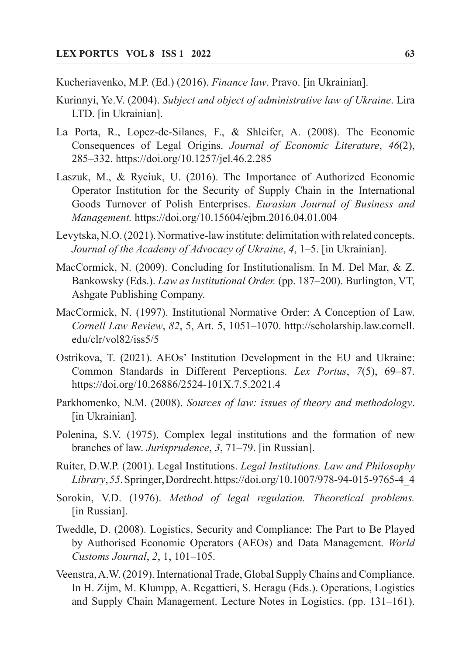Kucheriavenko, M.P. (Ed.) (2016). *Finance law*. Pravo. [in Ukrainian].

- Kurinnyi, Ye.V. (2004). *Subject and object of administrative law of Ukraine*. Lira LTD. [in Ukrainian].
- La Porta, R., Lopez-de-Silanes, F., & Shleifer, A. (2008). The Economic Consequences of Legal Origins. *Journal of Economic Literature*, *46*(2), 285–332. https://doi.org/10.1257/jel.46.2.285
- Laszuk, M., & Ryciuk, U. (2016). The Importance of Authorized Economic Operator Institution for the Security of Supply Chain in the International Goods Turnover of Polish Enterprises. *Eurasian Journal of Business and Management.* https://doi.org/10.15604/ejbm.2016.04.01.004
- Levytska, N.O. (2021). Normative-law institute: delimitation with related concepts. *Journal of the Academy of Advocacy of Ukraine*, *4*, 1–5. [in Ukrainian].
- MacCormick, N. (2009). Concluding for Institutionalism. In M. Del Mar, & Z. Bankowsky (Eds.). *Law as Institutional Order.* (pp. 187–200). Burlington, VT, Ashgate Publishing Company.
- MacCormick, N. (1997). Institutional Normative Order: A Conception of Law. *Cornell Law Review*, *82*, 5, Art. 5, 1051–1070. http://scholarship.law.cornell. edu/clr/vol82/iss5/5
- Ostrikova, T. (2021). AEOs' Institution Development in the EU and Ukraine: Common Standards in Different Perceptions. *Lex Portus*, *7*(5), 69–87. https://doi.org/10.26886/2524-101X.7.5.2021.4
- Parkhomenko, N.M. (2008). *Sources of law: issues of theory and methodology*. [in Ukrainian].
- Polenina, S.V. (1975). Complex legal institutions and the formation of new branches of law. *Jurisprudence*, *3*, 71–79. [in Russian].
- Ruiter, D.W.P. (2001). Legal Institutions. *Legal Institutions. Law and Philosophy Library*, *55*. Springer, Dordrecht. https://doi.org/10.1007/978-94-015-9765-4\_4
- Sorokin, V.D. (1976). *Method of legal regulation. Theoretical problems.* [in Russian].
- Tweddle, D. (2008). Logistics, Security and Compliance: The Part to Be Played by Authorised Economic Operators (AEOs) and Data Management. *World Customs Journal*, *2*, 1, 101–105.
- Veenstra, A.W. (2019). International Trade, Global Supply Chains and Compliance. In H. Zijm, M. Klumpp, A. Regattieri, S. Heragu (Eds.). Operations, Logistics and Supply Chain Management. Lecture Notes in Logistics. (pp. 131–161).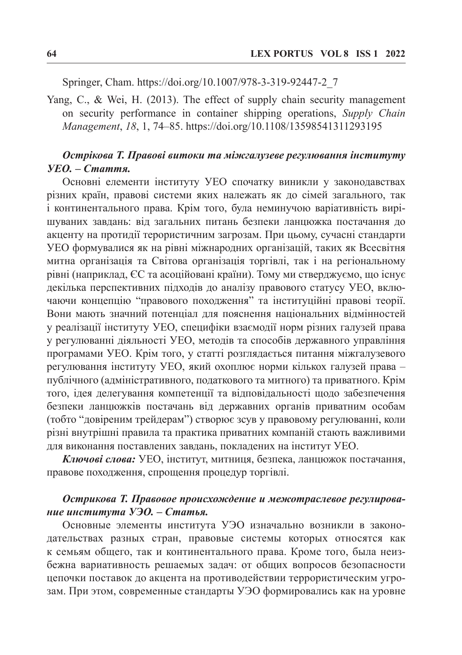Springer, Cham. https://doi.org/10.1007/978-3-319-92447-2\_7

Yang, C., & Wei, H. (2013). The effect of supply chain security management on security performance in container shipping operations, *Supply Chain Management*, *18*, 1, 74–85. https://doi.org/10.1108/13598541311293195

#### *Острікова Т. Правові витоки та міжгалузеве регулювання інституту УЕО. – Стаття.*

Основні елементи інституту УЕО спочатку виникли у законодавствах різних країн, правові системи яких належать як до сімей загального, так і континентального права. Крім того, була неминучою варіативність вирішуваних завдань: від загальних питань безпеки ланцюжка постачання до акценту на протидії терористичним загрозам. При цьому, сучасні стандарти УЕО формувалися як на рівні міжнародних організацій, таких як Всесвітня митна організація та Світова організація торгівлі, так і на регіональному рівні (наприклад, ЄС та асоційовані країни). Тому ми стверджуємо, що існує декілька перспективних підходів до аналізу правового статусу УЕО, включаючи концепцію "правового походження" та інституційні правові теорії. Вони мають значний потенціал для пояснення національних відмінностей у реалізації інституту УЕО, специфіки взаємодії норм різних галузей права у регулюванні діяльності УЕО, методів та способів державного управління програмами УЕО. Крім того, у статті розглядається питання міжгалузевого регулювання інституту УЕО, який охоплює норми кількох галузей права – публічного (адміністративного, податкового та митного) та приватного. Крім того, ідея делегування компетенції та відповідальності щодо забезпечення безпеки ланцюжків постачань від державних органів приватним особам (тобто "довіреним трейдерам") створює зсув у правовому регулюванні, коли різні внутрішні правила та практика приватних компаній стають важливими для виконання поставлених завдань, покладених на інститут УЕО.

*Ключові слова:* УЕО, інститут, митниця, безпека, ланцюжок постачання, правове походження, спрощення процедур торгівлі.

#### *Острикова Т. Правовое происхождение и межотраслевое регулирование института УЭО. – Статья.*

Основные элементы института УЭО изначально возникли в законодательствах разных стран, правовые системы которых относятся как к семьям общего, так и континентального права. Кроме того, была неизбежна вариативность решаемых задач: от общих вопросов безопасности цепочки поставок до акцента на противодействии террористическим угрозам. При этом, современные стандарты УЭО формировались как на уровне